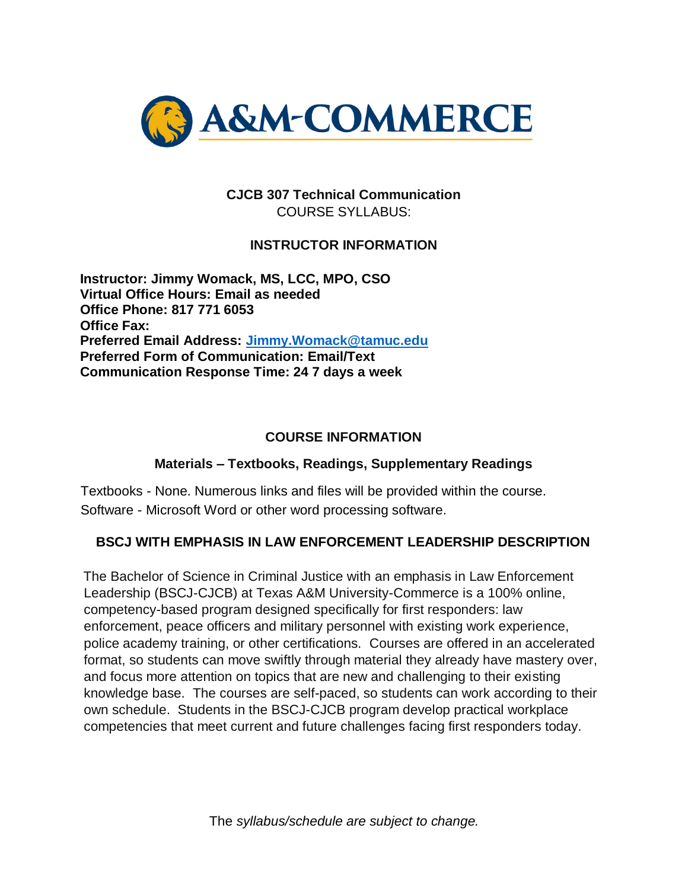

# **CJCB 307 Technical Communication**  COURSE SYLLABUS:

# **INSTRUCTOR INFORMATION**

**Instructor: Jimmy Womack, MS, LCC, MPO, CSO Virtual Office Hours: Email as needed Office Phone: 817 771 6053 Office Fax: Preferred Email Address: [Jimmy.Womack@tamuc.edu](mailto:Jimmy.Womack@tamuc.edu) Preferred Form of Communication: Email/Text Communication Response Time: 24 7 days a week**

#### **COURSE INFORMATION**

#### **Materials – Textbooks, Readings, Supplementary Readings**

Textbooks - None. Numerous links and files will be provided within the course. Software - Microsoft Word or other word processing software.

### **BSCJ WITH EMPHASIS IN LAW ENFORCEMENT LEADERSHIP DESCRIPTION**

The Bachelor of Science in Criminal Justice with an emphasis in Law Enforcement Leadership (BSCJ-CJCB) at Texas A&M University-Commerce is a 100% online, competency-based program designed specifically for first responders: law enforcement, peace officers and military personnel with existing work experience, police academy training, or other certifications. Courses are offered in an accelerated format, so students can move swiftly through material they already have mastery over, and focus more attention on topics that are new and challenging to their existing knowledge base. The courses are self-paced, so students can work according to their own schedule. Students in the BSCJ-CJCB program develop practical workplace competencies that meet current and future challenges facing first responders today.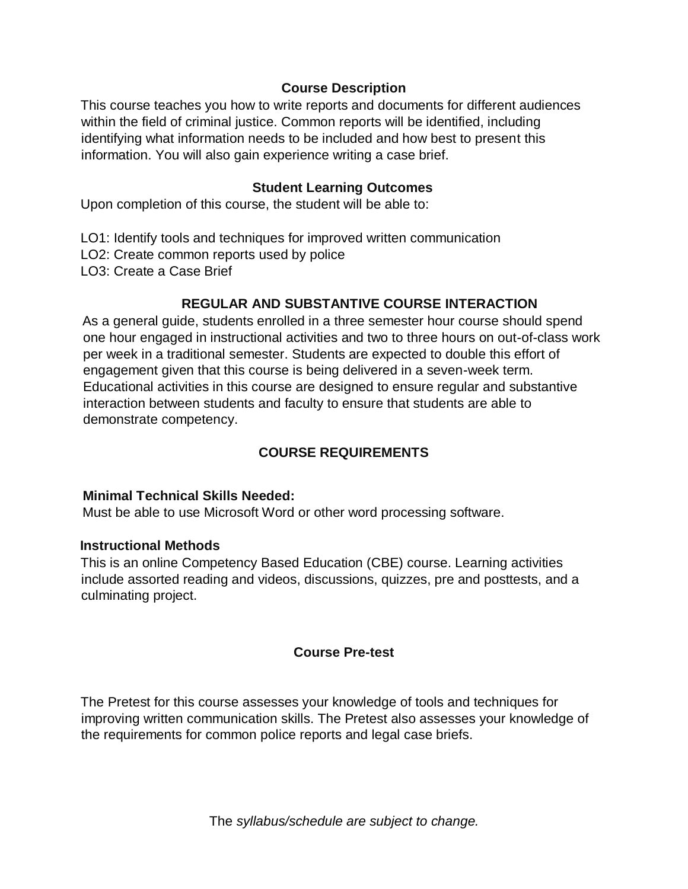### **Course Description**

This course teaches you how to write reports and documents for different audiences within the field of criminal justice. Common reports will be identified, including identifying what information needs to be included and how best to present this information. You will also gain experience writing a case brief.

#### **Student Learning Outcomes**

Upon completion of this course, the student will be able to:

- LO1: Identify tools and techniques for improved written communication
- LO2: Create common reports used by police
- LO3: Create a Case Brief

#### **REGULAR AND SUBSTANTIVE COURSE INTERACTION**

As a general guide, students enrolled in a three semester hour course should spend one hour engaged in instructional activities and two to three hours on out-of-class work per week in a traditional semester. Students are expected to double this effort of engagement given that this course is being delivered in a seven-week term. Educational activities in this course are designed to ensure regular and substantive interaction between students and faculty to ensure that students are able to demonstrate competency.

### **COURSE REQUIREMENTS**

#### **Minimal Technical Skills Needed:**

Must be able to use Microsoft Word or other word processing software.

#### **Instructional Methods**

This is an online Competency Based Education (CBE) course. Learning activities include assorted reading and videos, discussions, quizzes, pre and posttests, and a culminating project.

#### **Course Pre-test**

The Pretest for this course assesses your knowledge of tools and techniques for improving written communication skills. The Pretest also assesses your knowledge of the requirements for common police reports and legal case briefs.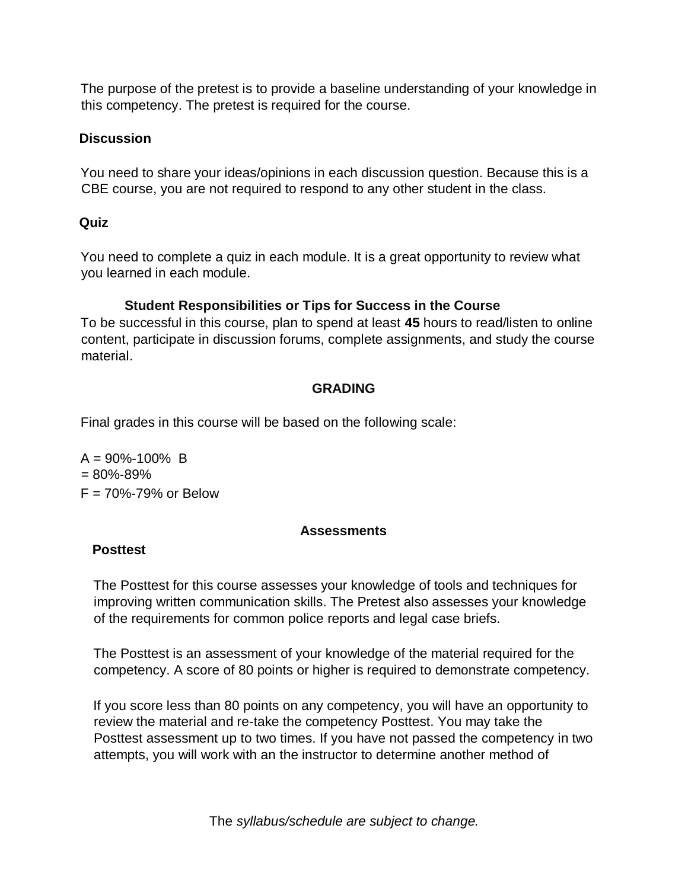The purpose of the pretest is to provide a baseline understanding of your knowledge in this competency. The pretest is required for the course.

## **Discussion**

You need to share your ideas/opinions in each discussion question. Because this is a CBE course, you are not required to respond to any other student in the class.

# **Quiz**

You need to complete a quiz in each module. It is a great opportunity to review what you learned in each module.

# **Student Responsibilities or Tips for Success in the Course**

To be successful in this course, plan to spend at least **45** hours to read/listen to online content, participate in discussion forums, complete assignments, and study the course material.

# **GRADING**

Final grades in this course will be based on the following scale:

 $A = 90\% - 100\%$  B  $= 80\% - 89\%$  $F = 70\% - 79\%$  or Below

### **Assessments**

# **Posttest**

The Posttest for this course assesses your knowledge of tools and techniques for improving written communication skills. The Pretest also assesses your knowledge of the requirements for common police reports and legal case briefs.

The Posttest is an assessment of your knowledge of the material required for the competency. A score of 80 points or higher is required to demonstrate competency.

If you score less than 80 points on any competency, you will have an opportunity to review the material and re-take the competency Posttest. You may take the Posttest assessment up to two times. If you have not passed the competency in two attempts, you will work with an the instructor to determine another method of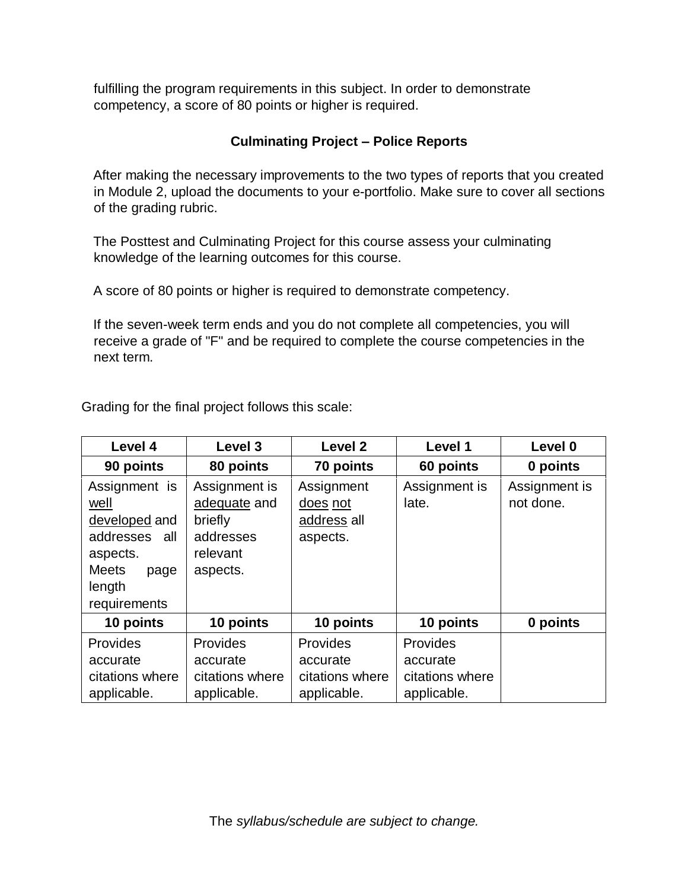fulfilling the program requirements in this subject. In order to demonstrate competency, a score of 80 points or higher is required.

# **Culminating Project – Police Reports**

After making the necessary improvements to the two types of reports that you created in Module 2, upload the documents to your e-portfolio. Make sure to cover all sections of the grading rubric.

The Posttest and Culminating Project for this course assess your culminating knowledge of the learning outcomes for this course.

A score of 80 points or higher is required to demonstrate competency.

If the seven-week term ends and you do not complete all competencies, you will receive a grade of "F" and be required to complete the course competencies in the next term.

Grading for the final project follows this scale:

| Level 4                                                                                                                  | Level 3                                                                       | Level <sub>2</sub>                                     | Level 1                                                | Level 0                    |
|--------------------------------------------------------------------------------------------------------------------------|-------------------------------------------------------------------------------|--------------------------------------------------------|--------------------------------------------------------|----------------------------|
| 90 points                                                                                                                | 80 points                                                                     | 70 points                                              | 60 points                                              | 0 points                   |
| Assignment is<br>well<br>developed and<br>addresses<br>all<br>aspects.<br><b>Meets</b><br>page<br>length<br>requirements | Assignment is<br>adequate and<br>briefly<br>addresses<br>relevant<br>aspects. | Assignment<br>does not<br>address all<br>aspects.      | Assignment is<br>late.                                 | Assignment is<br>not done. |
| 10 points                                                                                                                | 10 points                                                                     | 10 points                                              | 10 points                                              | 0 points                   |
| Provides<br>accurate<br>citations where<br>applicable.                                                                   | Provides<br>accurate<br>citations where<br>applicable.                        | Provides<br>accurate<br>citations where<br>applicable. | Provides<br>accurate<br>citations where<br>applicable. |                            |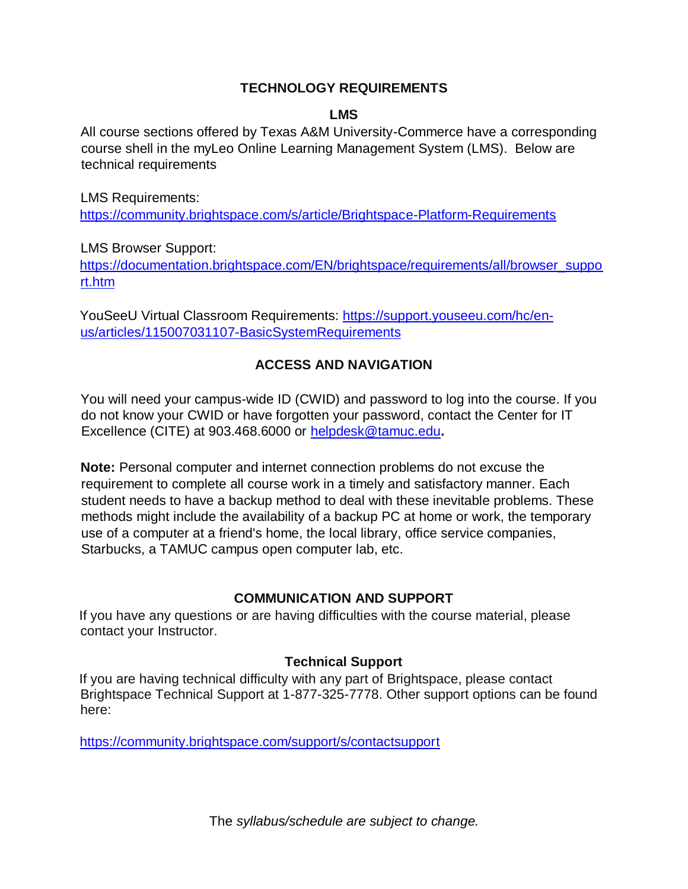### **TECHNOLOGY REQUIREMENTS**

#### **LMS**

All course sections offered by Texas A&M University-Commerce have a corresponding course shell in the myLeo Online Learning Management System (LMS). Below are technical requirements

LMS Requirements:

<https://community.brightspace.com/s/article/Brightspace-Platform-Requirements>

LMS Browser Support:

[https://documentation.brightspace.com/EN/brightspace/requirements/all/browser\\_suppo](https://documentation.brightspace.com/EN/brightspace/requirements/all/browser_support.htm) [rt.htm](https://documentation.brightspace.com/EN/brightspace/requirements/all/browser_support.htm) 

YouSeeU Virtual Classroom Requirements: [https://support.youseeu.com/hc/en](https://support.youseeu.com/hc/en-us/articles/115007031107-Basic-System-Requirements)[us/articles/115007031107-BasicSystemRequirements](https://support.youseeu.com/hc/en-us/articles/115007031107-Basic-System-Requirements) 

# **ACCESS AND NAVIGATION**

You will need your campus-wide ID (CWID) and password to log into the course. If you do not know your CWID or have forgotten your password, contact the Center for IT Excellence (CITE) at 903.468.6000 or helpdesk@tamuc.edu**.** 

**Note:** Personal computer and internet connection problems do not excuse the requirement to complete all course work in a timely and satisfactory manner. Each student needs to have a backup method to deal with these inevitable problems. These methods might include the availability of a backup PC at home or work, the temporary use of a computer at a friend's home, the local library, office service companies, Starbucks, a TAMUC campus open computer lab, etc.

# **COMMUNICATION AND SUPPORT**

If you have any questions or are having difficulties with the course material, please contact your Instructor.

# **Technical Support**

If you are having technical difficulty with any part of Brightspace, please contact Brightspace Technical Support at 1-877-325-7778. Other support options can be found here:

<https://community.brightspace.com/support/s/contactsupport>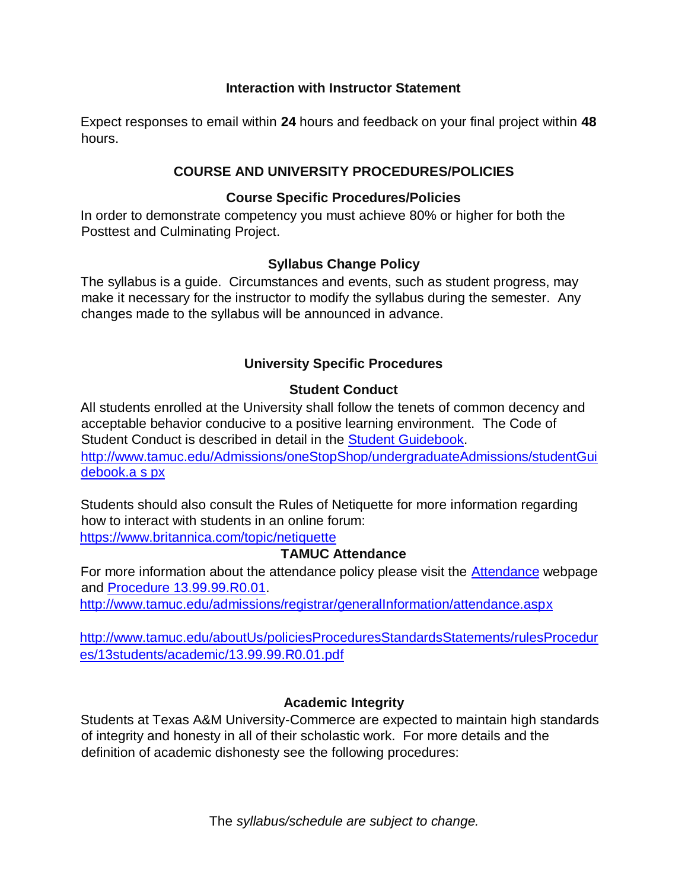#### **Interaction with Instructor Statement**

Expect responses to email within **24** hours and feedback on your final project within **48** hours.

## **COURSE AND UNIVERSITY PROCEDURES/POLICIES**

#### **Course Specific Procedures/Policies**

In order to demonstrate competency you must achieve 80% or higher for both the Posttest and Culminating Project.

### **Syllabus Change Policy**

The syllabus is a guide. Circumstances and events, such as student progress, may make it necessary for the instructor to modify the syllabus during the semester. Any changes made to the syllabus will be announced in advance.

# **University Specific Procedures**

### **Student Conduct**

All students enrolled at the University shall follow the tenets of common decency and acceptable behavior conducive to a positive learning environment. The Code of Student Conduct is described in detail in t[he](http://www.tamuc.edu/Admissions/oneStopShop/undergraduateAdmissions/studentGuidebook.aspx) [Student Guidebook.](http://www.tamuc.edu/Admissions/oneStopShop/undergraduateAdmissions/studentGuidebook.aspx) [http://www.tamuc.edu/Admissions/oneStopShop/undergraduateAdmissions/studentGui](http://www.tamuc.edu/Admissions/oneStopShop/undergraduateAdmissions/studentGuidebook.aspx) [debook.a s](http://www.tamuc.edu/Admissions/oneStopShop/undergraduateAdmissions/studentGuidebook.aspx) [px](http://www.tamuc.edu/Admissions/oneStopShop/undergraduateAdmissions/studentGuidebook.aspx)

Students should also consult the Rules of Netiquette for more information regarding how to interact with students in an online forum:

<https://www.britannica.com/topic/netiquette>

### **TAMUC Attendance**

For more information about the attendance policy please visit the [Attendance](http://www.tamuc.edu/admissions/registrar/generalInformation/attendance.aspx) [we](http://www.tamuc.edu/admissions/registrar/generalInformation/attendance.aspx)bpage and [Procedure 13.99.99.R0.01.](http://www.tamuc.edu/aboutUs/policiesProceduresStandardsStatements/rulesProcedures/13students/academic/13.99.99.R0.01.pdf)

<http://www.tamuc.edu/admissions/registrar/generalInformation/attendance.aspx>

[http://www.tamuc.edu/aboutUs/policiesProceduresStandardsStatements/rulesProcedur](http://www.tamuc.edu/aboutUs/policiesProceduresStandardsStatements/rulesProcedures/13students/academic/13.99.99.R0.01.pdf) [es/13students/academic/13.99.99.R0.01.pdf](http://www.tamuc.edu/aboutUs/policiesProceduresStandardsStatements/rulesProcedures/13students/academic/13.99.99.R0.01.pdf) 

### **Academic Integrity**

Students at Texas A&M University-Commerce are expected to maintain high standards of integrity and honesty in all of their scholastic work. For more details and the definition of academic dishonesty see the following procedures: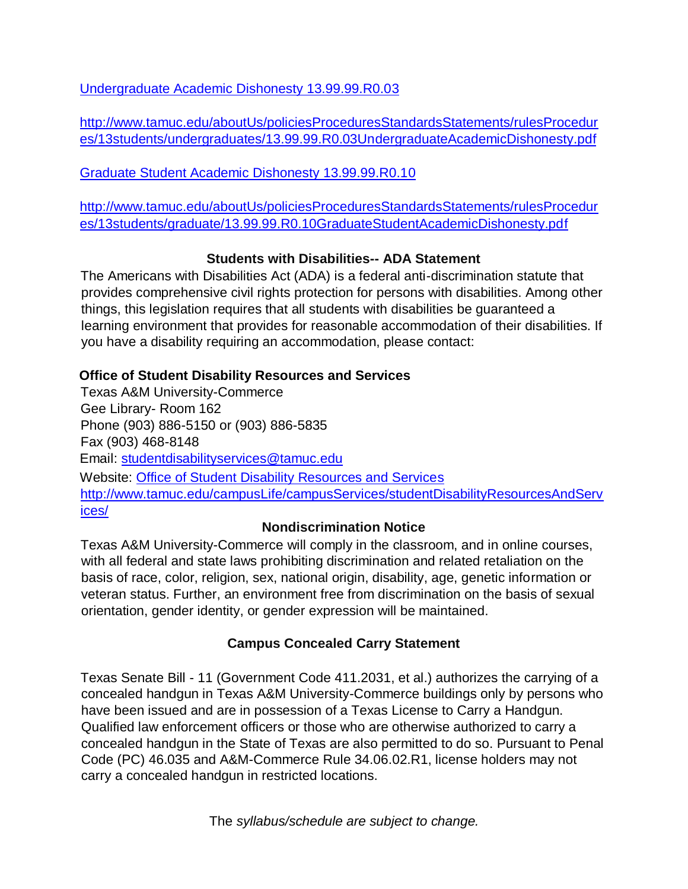[Undergraduate Academic Dishonesty 13.99.99.R0.03](http://www.tamuc.edu/aboutUs/policiesProceduresStandardsStatements/rulesProcedures/13students/undergraduates/13.99.99.R0.03UndergraduateAcademicDishonesty.pdf) 

[http://www.tamuc.edu/aboutUs/policiesProceduresStandardsStatements/rulesProcedur](http://www.tamuc.edu/aboutUs/policiesProceduresStandardsStatements/rulesProcedures/13students/undergraduates/13.99.99.R0.03UndergraduateAcademicDishonesty.pdf) [es/13students/undergraduates/13.99.99.R0.03UndergraduateAcademicDishonesty.pdf](http://www.tamuc.edu/aboutUs/policiesProceduresStandardsStatements/rulesProcedures/13students/undergraduates/13.99.99.R0.03UndergraduateAcademicDishonesty.pdf) 

[Graduate Student Academic Dishonesty 13.99.99.R0.10](http://www.tamuc.edu/aboutUs/policiesProceduresStandardsStatements/rulesProcedures/13students/graduate/13.99.99.R0.10GraduateStudentAcademicDishonesty.pdf) 

[http://www.tamuc.edu/aboutUs/policiesProceduresStandardsStatements/rulesProcedur](http://www.tamuc.edu/aboutUs/policiesProceduresStandardsStatements/rulesProcedures/13students/graduate/13.99.99.R0.10GraduateStudentAcademicDishonesty.pdf) [es/13students/graduate/13.99.99.R0.10GraduateStudentAcademicDishonesty.pdf](http://www.tamuc.edu/aboutUs/policiesProceduresStandardsStatements/rulesProcedures/13students/graduate/13.99.99.R0.10GraduateStudentAcademicDishonesty.pdf) 

# **Students with Disabilities-- ADA Statement**

The Americans with Disabilities Act (ADA) is a federal anti-discrimination statute that provides comprehensive civil rights protection for persons with disabilities. Among other things, this legislation requires that all students with disabilities be guaranteed a learning environment that provides for reasonable accommodation of their disabilities. If you have a disability requiring an accommodation, please contact:

# **Office of Student Disability Resources and Services**

Texas A&M University-Commerce Gee Library- Room 162 Phone (903) 886-5150 or (903) 886-5835 Fax (903) 468-8148 Email: studentdisabilityservices@tamuc.edu Website: [Office of Student Disability Resources and Services](http://www.tamuc.edu/campusLife/campusServices/studentDisabilityResourcesAndServices/)  [http://www.tamuc.edu/campusLife/campusServices/studentDisabilityResourcesAndServ](http://www.tamuc.edu/campusLife/campusServices/studentDisabilityResourcesAndServices/) [ices/](http://www.tamuc.edu/campusLife/campusServices/studentDisabilityResourcesAndServices/) 

### **Nondiscrimination Notice**

Texas A&M University-Commerce will comply in the classroom, and in online courses, with all federal and state laws prohibiting discrimination and related retaliation on the basis of race, color, religion, sex, national origin, disability, age, genetic information or veteran status. Further, an environment free from discrimination on the basis of sexual orientation, gender identity, or gender expression will be maintained.

# **Campus Concealed Carry Statement**

Texas Senate Bill - 11 (Government Code 411.2031, et al.) authorizes the carrying of a concealed handgun in Texas A&M University-Commerce buildings only by persons who have been issued and are in possession of a Texas License to Carry a Handgun. Qualified law enforcement officers or those who are otherwise authorized to carry a concealed handgun in the State of Texas are also permitted to do so. Pursuant to Penal Code (PC) 46.035 and A&M-Commerce Rule 34.06.02.R1, license holders may not carry a concealed handgun in restricted locations.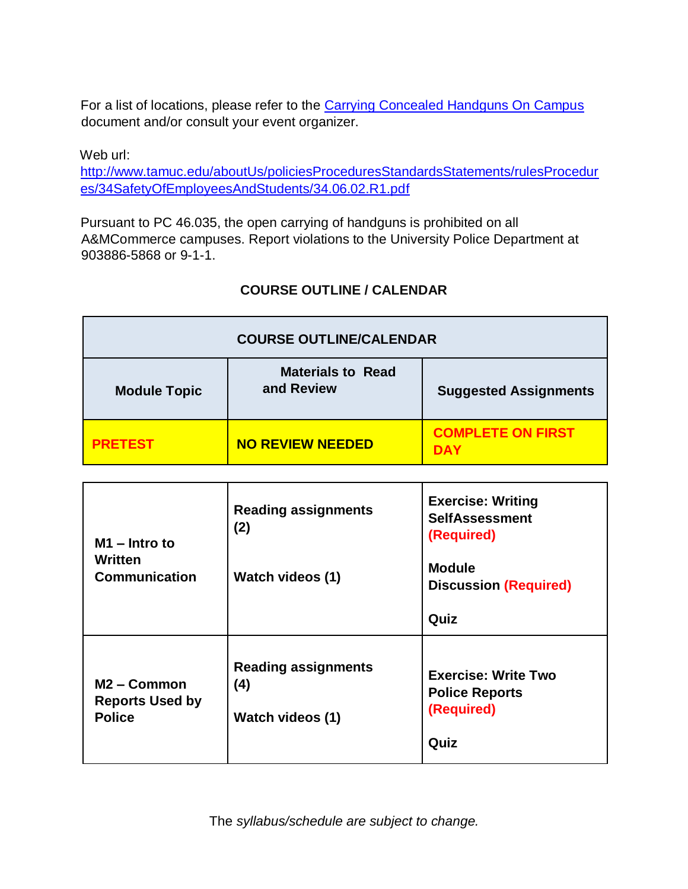For a list of locations, please refer to t[he](http://www.tamuc.edu/aboutUs/policiesProceduresStandardsStatements/rulesProcedures/34SafetyOfEmployeesAndStudents/34.06.02.R1.pdf) [Carrying Concealed Handguns On Campus](http://www.tamuc.edu/aboutUs/policiesProceduresStandardsStatements/rulesProcedures/34SafetyOfEmployeesAndStudents/34.06.02.R1.pdf)  document and/or consult your event organizer.

Web url: [http://www.tamuc.edu/aboutUs/policiesProceduresStandardsStatements/rulesProcedur](http://www.tamuc.edu/aboutUs/policiesProceduresStandardsStatements/rulesProcedures/34SafetyOfEmployeesAndStudents/34.06.02.R1.pdf) [es/34SafetyOfEmployeesAndStudents/34.06.02.R1.pdf](http://www.tamuc.edu/aboutUs/policiesProceduresStandardsStatements/rulesProcedures/34SafetyOfEmployeesAndStudents/34.06.02.R1.pdf) 

Pursuant to PC 46.035, the open carrying of handguns is prohibited on all A&MCommerce campuses. Report violations to the University Police Department at 903886-5868 or 9-1-1.

# **COURSE OUTLINE / CALENDAR**

| <b>COURSE OUTLINE/CALENDAR</b> |                                        |                                        |  |  |  |
|--------------------------------|----------------------------------------|----------------------------------------|--|--|--|
| <b>Module Topic</b>            | <b>Materials to Read</b><br>and Review | <b>Suggested Assignments</b>           |  |  |  |
| <b>PRETEST</b>                 | <b>NO REVIEW NEEDED</b>                | <b>COMPLETE ON FIRST</b><br><b>DAY</b> |  |  |  |

| $M1 - Intro to$<br>Written<br><b>Communication</b>                 | <b>Reading assignments</b><br>(2)<br>Watch videos (1)        | <b>Exercise: Writing</b><br><b>SelfAssessment</b><br>(Required)<br><b>Module</b><br><b>Discussion (Required)</b><br>Quiz |
|--------------------------------------------------------------------|--------------------------------------------------------------|--------------------------------------------------------------------------------------------------------------------------|
| M <sub>2</sub> – Common<br><b>Reports Used by</b><br><b>Police</b> | <b>Reading assignments</b><br>(4)<br><b>Watch videos (1)</b> | <b>Exercise: Write Two</b><br><b>Police Reports</b><br>(Required)<br>Quiz                                                |